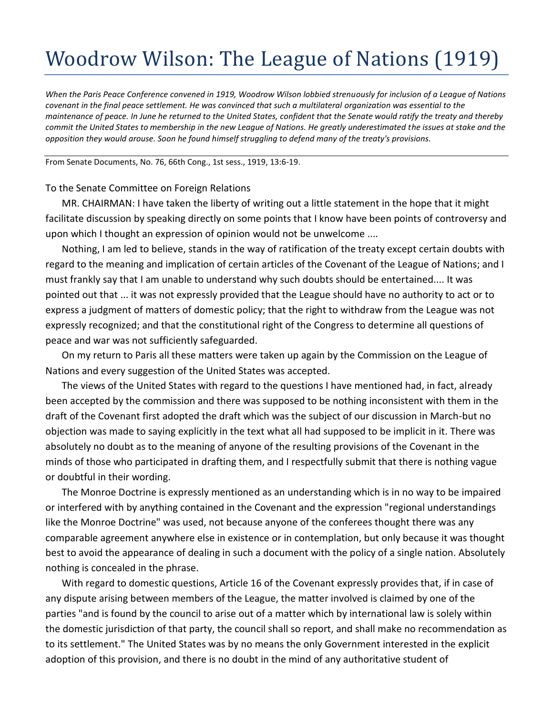## Woodrow Wilson: The League of Nations (1919)

*When the Paris Peace Conference convened in 1919, Woodrow Wilson lobbied strenuously for inclusion of a League of Nations covenant in the final peace settlement. He was convinced that such a multilateral organization was essential to the maintenance of peace. In June he returned to the United States, confident that the Senate would ratify the treaty and thereby commit the United States to membership in the new League of Nations. He greatly underestimated the issues at stake and the opposition they would arouse. Soon he found himself struggling to defend many of the treaty's provisions.*

From Senate Documents, No. 76, 66th Cong., 1st sess., 1919, 13:6-19.

## To the Senate Committee on Foreign Relations

MR. CHAIRMAN: I have taken the liberty of writing out a little statement in the hope that it might facilitate discussion by speaking directly on some points that I know have been points of controversy and upon which I thought an expression of opinion would not be unwelcome ....

Nothing, I am led to believe, stands in the way of ratification of the treaty except certain doubts with regard to the meaning and implication of certain articles of the Covenant of the League of Nations; and I must frankly say that I am unable to understand why such doubts should be entertained.... It was pointed out that ... it was not expressly provided that the League should have no authority to act or to express a judgment of matters of domestic policy; that the right to withdraw from the League was not expressly recognized; and that the constitutional right of the Congress to determine all questions of peace and war was not sufficiently safeguarded.

On my return to Paris all these matters were taken up again by the Commission on the League of Nations and every suggestion of the United States was accepted.

The views of the United States with regard to the questions I have mentioned had, in fact, already been accepted by the commission and there was supposed to be nothing inconsistent with them in the draft of the Covenant first adopted the draft which was the subject of our discussion in March-but no objection was made to saying explicitly in the text what all had supposed to be implicit in it. There was absolutely no doubt as to the meaning of anyone of the resulting provisions of the Covenant in the minds of those who participated in drafting them, and I respectfully submit that there is nothing vague or doubtful in their wording.

The Monroe Doctrine is expressly mentioned as an understanding which is in no way to be impaired or interfered with by anything contained in the Covenant and the expression "regional understandings like the Monroe Doctrine" was used, not because anyone of the conferees thought there was any comparable agreement anywhere else in existence or in contemplation, but only because it was thought best to avoid the appearance of dealing in such a document with the policy of a single nation. Absolutely nothing is concealed in the phrase.

With regard to domestic questions, Article 16 of the Covenant expressly provides that, if in case of any dispute arising between members of the League, the matter involved is claimed by one of the parties "and is found by the council to arise out of a matter which by international law is solely within the domestic jurisdiction of that party, the council shall so report, and shall make no recommendation as to its settlement." The United States was by no means the only Government interested in the explicit adoption of this provision, and there is no doubt in the mind of any authoritative student of